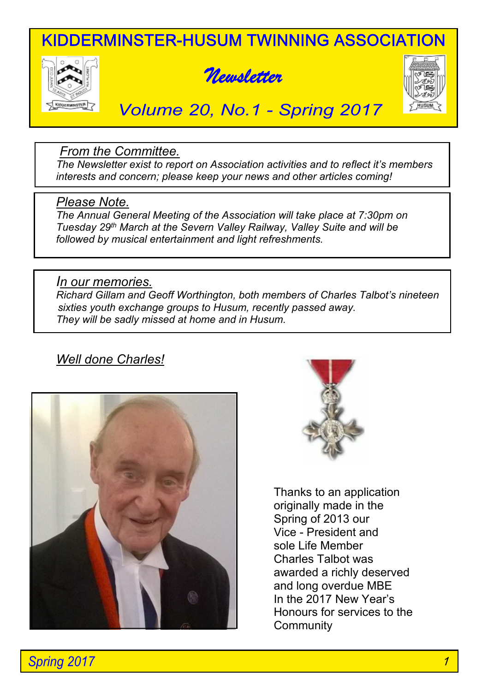# KIDDERMINSTER-HUSUM TWINNING ASSOCIATION







# *Volume 20, No.1 - Spring 2017*

### *From the Committee.*

*The Newsletter exist to report on Association activities and to reflect it's members interests and concern; please keep your news and other articles coming!*

#### *Please Note.*

*The Annual General Meeting of the Association will take place at 7:30pm on Tuesday 29th March at the Severn Valley Railway, Valley Suite and will be followed by musical entertainment and light refreshments.*

#### *In our memories.*

*Richard Gillam and Geoff Worthington, both members of Charles Talbot's nineteen sixties youth exchange groups to Husum, recently passed away. They will be sadly missed at home and in Husum.*

## *Well done Charles!*





Thanks to an application originally made in the Spring of 2013 our Vice - President and sole Life Member Charles Talbot was awarded a richly deserved and long overdue MBE In the 2017 New Year's Honours for services to the **Community** 

*Spring 2017*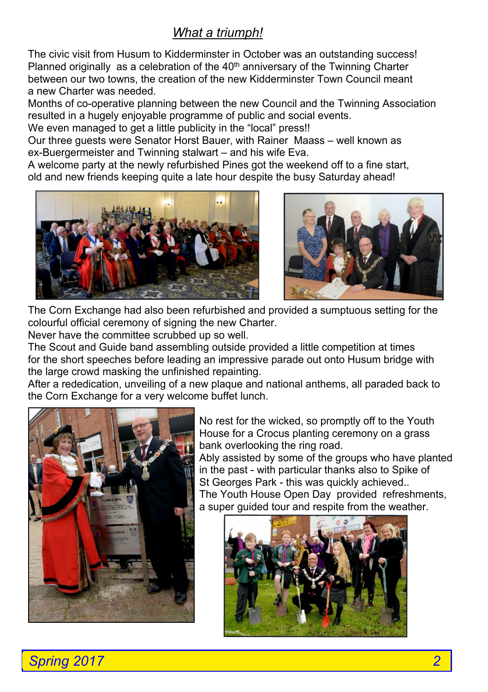# *What a triumph!*

The civic visit from Husum to Kidderminster in October was an outstanding success! Planned originally as a celebration of the  $40<sup>th</sup>$  anniversary of the Twinning Charter between our two towns, the creation of the new Kidderminster Town Council meant a new Charter was needed.

Months of co-operative planning between the new Council and the Twinning Association resulted in a hugely enjoyable programme of public and social events.

We even managed to get a little publicity in the "local" press!!

Our three guests were Senator Horst Bauer, with Rainer Maass – well known as ex-Buergermeister and Twinning stalwart – and his wife Eva.

A welcome party at the newly refurbished Pines got the weekend off to a fine start, old and new friends keeping quite a late hour despite the busy Saturday ahead!





The Corn Exchange had also been refurbished and provided a sumptuous setting for the colourful official ceremony of signing the new Charter.

Never have the committee scrubbed up so well.

The Scout and Guide band assembling outside provided a little competition at times for the short speeches before leading an impressive parade out onto Husum bridge with the large crowd masking the unfinished repainting.

After a rededication, unveiling of a new plaque and national anthems, all paraded back to the Corn Exchange for a very welcome buffet lunch.



No rest for the wicked, so promptly off to the Youth House for a Crocus planting ceremony on a grass bank overlooking the ring road.

Ably assisted by some of the groups who have planted in the past - with particular thanks also to Spike of St Georges Park - this was quickly achieved..

The Youth House Open Day provided refreshments, a super guided tour and respite from the weather.

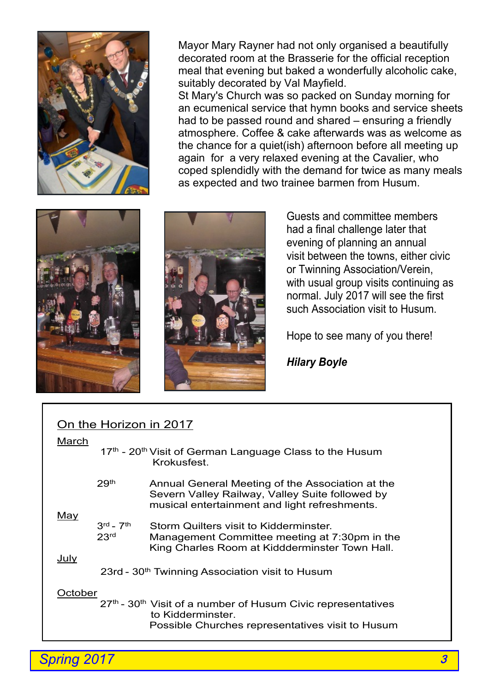

. Mayor Mary Rayner had not only organised a beautifully decorated room at the Brasserie for the official reception meal that evening but baked a wonderfully alcoholic cake, suitably decorated by Val Mayfield.

St Mary's Church was so packed on Sunday morning for an ecumenical service that hymn books and service sheets had to be passed round and shared – ensuring a friendly atmosphere. Coffee & cake afterwards was as welcome as the chance for a quiet(ish) afternoon before all meeting up again for a very relaxed evening at the Cavalier, who coped splendidly with the demand for twice as many meals as expected and two trainee barmen from Husum.





Guests and committee members had a final challenge later that evening of planning an annual visit between the towns, either civic or Twinning Association/Verein, with usual group visits continuing as normal. July 2017 will see the first such Association visit to Husum.

Hope to see many of you there!

*Hilary Boyle*

| On the Horizon in 2017<br>March                                     |                                                                                                                                                      |
|---------------------------------------------------------------------|------------------------------------------------------------------------------------------------------------------------------------------------------|
|                                                                     | 17th - 20 <sup>th</sup> Visit of German Language Class to the Husum<br>Krokusfest.                                                                   |
| 29 <sup>th</sup>                                                    | Annual General Meeting of the Association at the<br>Severn Valley Railway, Valley Suite followed by<br>musical entertainment and light refreshments. |
| $3rd$ – $7th$<br>23 <sup>rd</sup>                                   | Storm Quilters visit to Kidderminster.<br>Management Committee meeting at 7:30pm in the<br>King Charles Room at Kiddderminster Town Hall.            |
| July<br>23rd - 30 <sup>th</sup> Twinning Association visit to Husum |                                                                                                                                                      |
| October                                                             | 27th - 30th Visit of a number of Husum Civic representatives<br>to Kidderminster.<br>Possible Churches representatives visit to Husum                |
|                                                                     |                                                                                                                                                      |